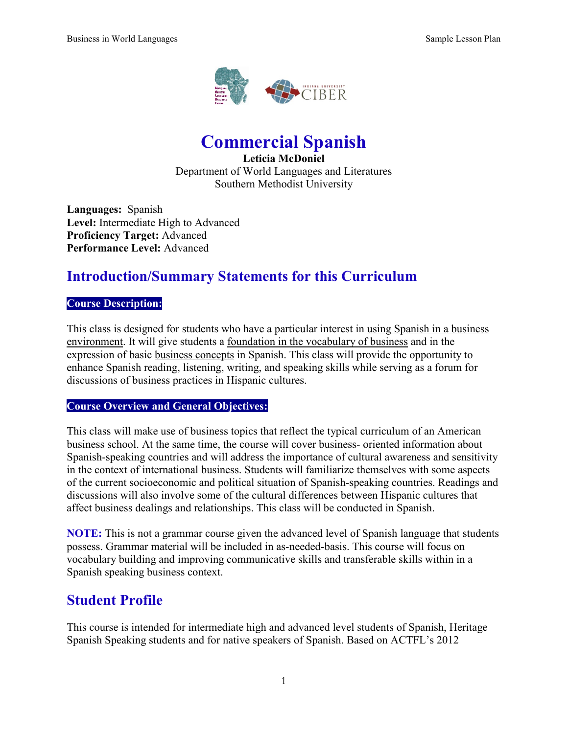

# **Commercial Spanish**

**Leticia McDoniel** Department of World Languages and Literatures Southern Methodist University

**Languages:** Spanish **Level:** Intermediate High to Advanced **Proficiency Target:** Advanced **Performance Level:** Advanced

# **Introduction/Summary Statements for this Curriculum**

### **Course Description:**

This class is designed for students who have a particular interest in using Spanish in a business environment. It will give students a foundation in the vocabulary of business and in the expression of basic business concepts in Spanish. This class will provide the opportunity to enhance Spanish reading, listening, writing, and speaking skills while serving as a forum for discussions of business practices in Hispanic cultures.

### **Course Overview and General Objectives:**

This class will make use of business topics that reflect the typical curriculum of an American business school. At the same time, the course will cover business- oriented information about Spanish-speaking countries and will address the importance of cultural awareness and sensitivity in the context of international business. Students will familiarize themselves with some aspects of the current socioeconomic and political situation of Spanish-speaking countries. Readings and discussions will also involve some of the cultural differences between Hispanic cultures that affect business dealings and relationships. This class will be conducted in Spanish.

**NOTE:** This is not a grammar course given the advanced level of Spanish language that students possess. Grammar material will be included in as-needed-basis. This course will focus on vocabulary building and improving communicative skills and transferable skills within in a Spanish speaking business context.

## **Student Profile**

This course is intended for intermediate high and advanced level students of Spanish, Heritage Spanish Speaking students and for native speakers of Spanish. Based on ACTFL's 2012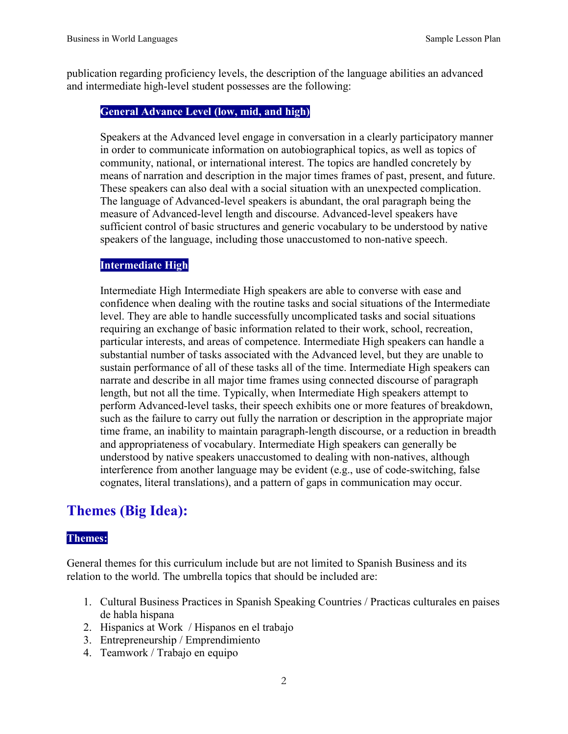publication regarding proficiency levels, the description of the language abilities an advanced and intermediate high-level student possesses are the following:

### **General Advance Level (low, mid, and high)**

Speakers at the Advanced level engage in conversation in a clearly participatory manner in order to communicate information on autobiographical topics, as well as topics of community, national, or international interest. The topics are handled concretely by means of narration and description in the major times frames of past, present, and future. These speakers can also deal with a social situation with an unexpected complication. The language of Advanced-level speakers is abundant, the oral paragraph being the measure of Advanced-level length and discourse. Advanced-level speakers have sufficient control of basic structures and generic vocabulary to be understood by native speakers of the language, including those unaccustomed to non-native speech.

### **Intermediate High**

Intermediate High Intermediate High speakers are able to converse with ease and confidence when dealing with the routine tasks and social situations of the Intermediate level. They are able to handle successfully uncomplicated tasks and social situations requiring an exchange of basic information related to their work, school, recreation, particular interests, and areas of competence. Intermediate High speakers can handle a substantial number of tasks associated with the Advanced level, but they are unable to sustain performance of all of these tasks all of the time. Intermediate High speakers can narrate and describe in all major time frames using connected discourse of paragraph length, but not all the time. Typically, when Intermediate High speakers attempt to perform Advanced-level tasks, their speech exhibits one or more features of breakdown, such as the failure to carry out fully the narration or description in the appropriate major time frame, an inability to maintain paragraph-length discourse, or a reduction in breadth and appropriateness of vocabulary. Intermediate High speakers can generally be understood by native speakers unaccustomed to dealing with non-natives, although interference from another language may be evident (e.g., use of code-switching, false cognates, literal translations), and a pattern of gaps in communication may occur.

# **Themes (Big Idea):**

### **Themes:**

General themes for this curriculum include but are not limited to Spanish Business and its relation to the world. The umbrella topics that should be included are:

- 1. Cultural Business Practices in Spanish Speaking Countries / Practicas culturales en paises de habla hispana
- 2. Hispanics at Work / Hispanos en el trabajo
- 3. Entrepreneurship / Emprendimiento
- 4. Teamwork / Trabajo en equipo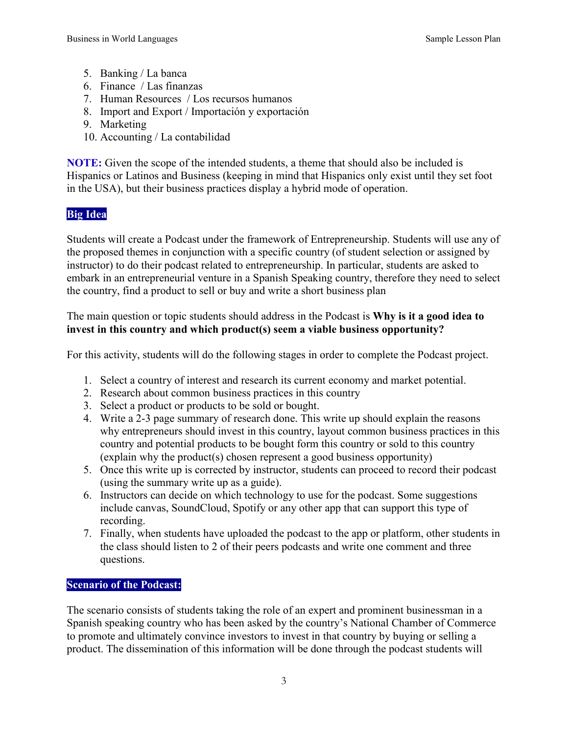- 5. Banking / La banca
- 6. Finance / Las finanzas
- 7. Human Resources / Los recursos humanos
- 8. Import and Export / Importación y exportación
- 9. Marketing
- 10. Accounting / La contabilidad

**NOTE:** Given the scope of the intended students, a theme that should also be included is Hispanics or Latinos and Business (keeping in mind that Hispanics only exist until they set foot in the USA), but their business practices display a hybrid mode of operation.

## **Big Idea**

Students will create a Podcast under the framework of Entrepreneurship. Students will use any of the proposed themes in conjunction with a specific country (of student selection or assigned by instructor) to do their podcast related to entrepreneurship. In particular, students are asked to embark in an entrepreneurial venture in a Spanish Speaking country, therefore they need to select the country, find a product to sell or buy and write a short business plan

The main question or topic students should address in the Podcast is **Why is it a good idea to invest in this country and which product(s) seem a viable business opportunity?** 

For this activity, students will do the following stages in order to complete the Podcast project.

- 1. Select a country of interest and research its current economy and market potential.
- 2. Research about common business practices in this country
- 3. Select a product or products to be sold or bought.
- 4. Write a 2-3 page summary of research done. This write up should explain the reasons why entrepreneurs should invest in this country, layout common business practices in this country and potential products to be bought form this country or sold to this country (explain why the product(s) chosen represent a good business opportunity)
- 5. Once this write up is corrected by instructor, students can proceed to record their podcast (using the summary write up as a guide).
- 6. Instructors can decide on which technology to use for the podcast. Some suggestions include canvas, SoundCloud, Spotify or any other app that can support this type of recording.
- 7. Finally, when students have uploaded the podcast to the app or platform, other students in the class should listen to 2 of their peers podcasts and write one comment and three questions.

## **Scenario of the Podcast:**

The scenario consists of students taking the role of an expert and prominent businessman in a Spanish speaking country who has been asked by the country's National Chamber of Commerce to promote and ultimately convince investors to invest in that country by buying or selling a product. The dissemination of this information will be done through the podcast students will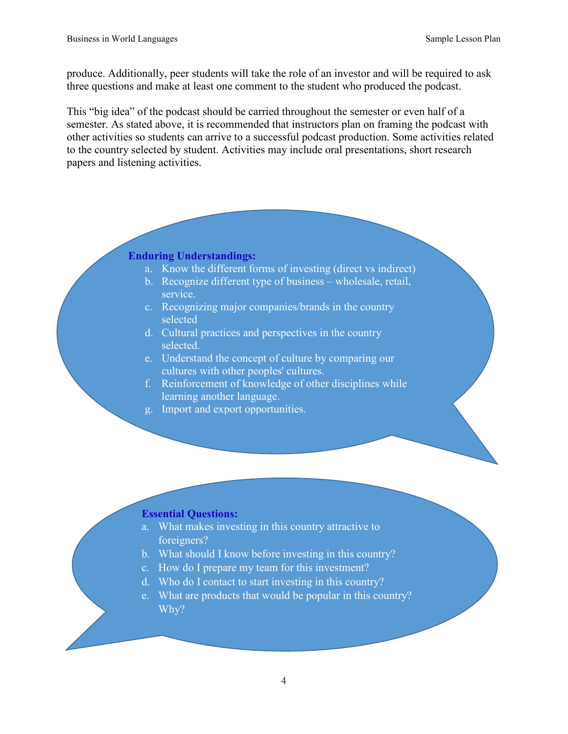produce. Additionally, peer students will take the role of an investor and will be required to ask three questions and make at least one comment to the student who produced the podcast.

This "big idea" of the podcast should be carried throughout the semester or even half of a semester. As stated above, it is recommended that instructors plan on framing the podcast with other activities so students can arrive to a successful podcast production. Some activities related to the country selected by student. Activities may include oral presentations, short research papers and listening activities.

#### **Enduring Understandings:**

- a. Know the different forms of investing (direct vs indirect)
- b. Recognize different type of business wholesale, retail, service.
- c. Recognizing major companies/brands in the country selected
- d. Cultural practices and perspectives in the country selected.
- e. Understand the concept of culture by comparing our cultures with other peoples' cultures.
- f. Reinforcement of knowledge of other disciplines while learning another language.
- g. Import and export opportunities.

#### **Essential Questions:**

- a. What makes investing in this country attractive to foreigners?
- b. What should I know before investing in this country?
- c. How do I prepare my team for this investment?
- d. Who do I contact to start investing in this country?
- e. What are products that would be popular in this country? Why?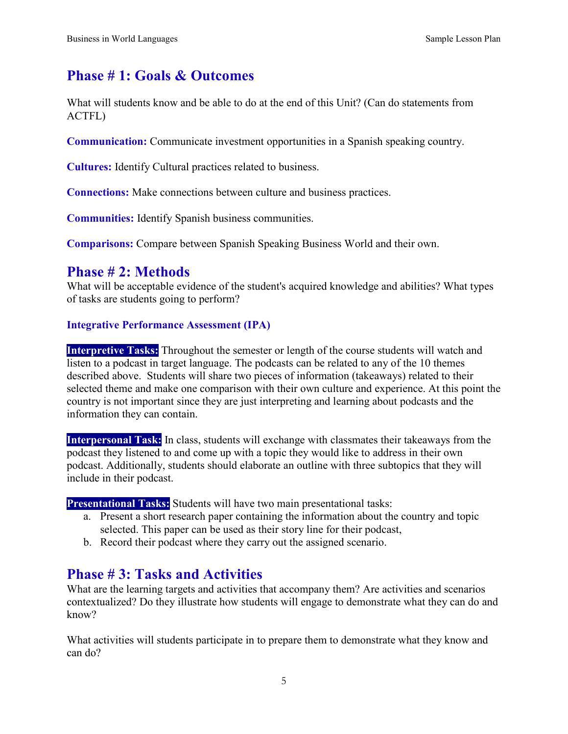# **Phase # 1: Goals & Outcomes**

What will students know and be able to do at the end of this Unit? (Can do statements from ACTFL)

**Communication:** Communicate investment opportunities in a Spanish speaking country.

**Cultures:** Identify Cultural practices related to business.

**Connections:** Make connections between culture and business practices.

**Communities:** Identify Spanish business communities.

**Comparisons:** Compare between Spanish Speaking Business World and their own.

## **Phase # 2: Methods**

What will be acceptable evidence of the student's acquired knowledge and abilities? What types of tasks are students going to perform?

## **Integrative Performance Assessment (IPA)**

**Interpretive Tasks:** Throughout the semester or length of the course students will watch and listen to a podcast in target language. The podcasts can be related to any of the 10 themes described above. Students will share two pieces of information (takeaways) related to their selected theme and make one comparison with their own culture and experience. At this point the country is not important since they are just interpreting and learning about podcasts and the information they can contain.

**Interpersonal Task:** In class, students will exchange with classmates their takeaways from the podcast they listened to and come up with a topic they would like to address in their own podcast. Additionally, students should elaborate an outline with three subtopics that they will include in their podcast.

**Presentational Tasks:** Students will have two main presentational tasks:

- a. Present a short research paper containing the information about the country and topic selected. This paper can be used as their story line for their podcast,
- b. Record their podcast where they carry out the assigned scenario.

## **Phase # 3: Tasks and Activities**

What are the learning targets and activities that accompany them? Are activities and scenarios contextualized? Do they illustrate how students will engage to demonstrate what they can do and know?

What activities will students participate in to prepare them to demonstrate what they know and can do?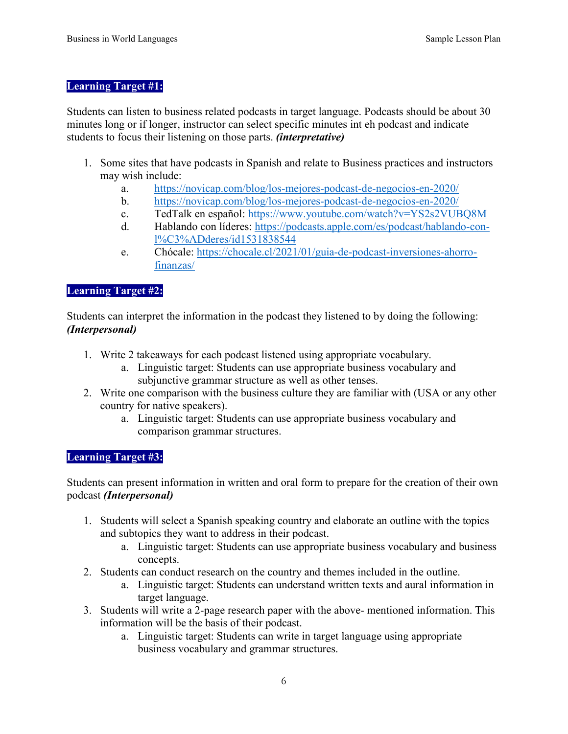## **Learning Target #1:**

Students can listen to business related podcasts in target language. Podcasts should be about 30 minutes long or if longer, instructor can select specific minutes int eh podcast and indicate students to focus their listening on those parts. *(interpretative)*

- 1. Some sites that have podcasts in Spanish and relate to Business practices and instructors may wish include:
	- a. <https://novicap.com/blog/los-mejores-podcast-de-negocios-en-2020/>
	- b. <https://novicap.com/blog/los-mejores-podcast-de-negocios-en-2020/>
	- c. TedTalk en español:<https://www.youtube.com/watch?v=YS2s2VUBQ8M>
	- d. Hablando con líderes: [https://podcasts.apple.com/es/podcast/hablando-con](https://podcasts.apple.com/es/podcast/hablando-con-l%C3%ADderes/id1531838544)[l%C3%ADderes/id1531838544](https://podcasts.apple.com/es/podcast/hablando-con-l%C3%ADderes/id1531838544)
	- e. Chócale: [https://chocale.cl/2021/01/guia-de-podcast-inversiones-ahorro](https://chocale.cl/2021/01/guia-de-podcast-inversiones-ahorro-finanzas/)[finanzas/](https://chocale.cl/2021/01/guia-de-podcast-inversiones-ahorro-finanzas/)

### **Learning Target #2:**

Students can interpret the information in the podcast they listened to by doing the following: *(Interpersonal)*

- 1. Write 2 takeaways for each podcast listened using appropriate vocabulary.
	- a. Linguistic target: Students can use appropriate business vocabulary and subjunctive grammar structure as well as other tenses.
- 2. Write one comparison with the business culture they are familiar with (USA or any other country for native speakers).
	- a. Linguistic target: Students can use appropriate business vocabulary and comparison grammar structures.

### **Learning Target #3:**

Students can present information in written and oral form to prepare for the creation of their own podcast *(Interpersonal)*

- 1. Students will select a Spanish speaking country and elaborate an outline with the topics and subtopics they want to address in their podcast.
	- a. Linguistic target: Students can use appropriate business vocabulary and business concepts.
- 2. Students can conduct research on the country and themes included in the outline.
	- a. Linguistic target: Students can understand written texts and aural information in target language.
- 3. Students will write a 2-page research paper with the above- mentioned information. This information will be the basis of their podcast.
	- a. Linguistic target: Students can write in target language using appropriate business vocabulary and grammar structures.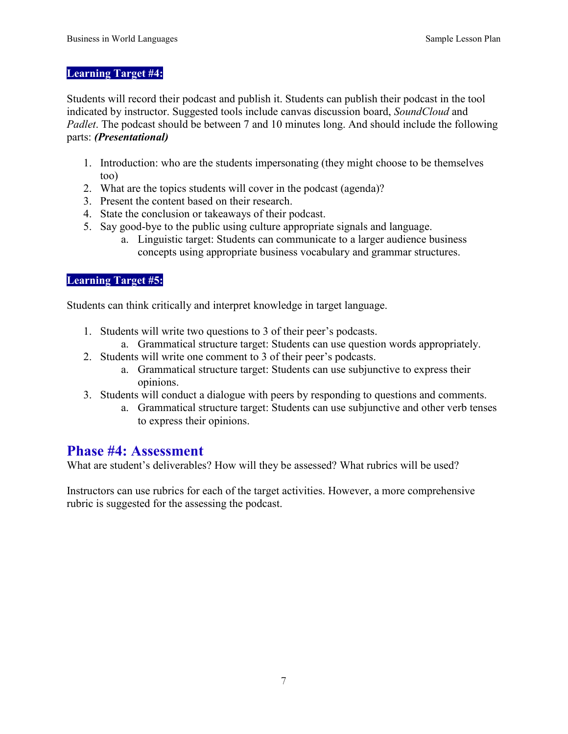### **Learning Target #4:**

Students will record their podcast and publish it. Students can publish their podcast in the tool indicated by instructor. Suggested tools include canvas discussion board, *SoundCloud* and *Padlet*. The podcast should be between 7 and 10 minutes long. And should include the following parts: *(Presentational)*

- 1. Introduction: who are the students impersonating (they might choose to be themselves too)
- 2. What are the topics students will cover in the podcast (agenda)?
- 3. Present the content based on their research.
- 4. State the conclusion or takeaways of their podcast.
- 5. Say good-bye to the public using culture appropriate signals and language.
	- a. Linguistic target: Students can communicate to a larger audience business concepts using appropriate business vocabulary and grammar structures.

## **Learning Target #5:**

Students can think critically and interpret knowledge in target language.

- 1. Students will write two questions to 3 of their peer's podcasts.
	- a. Grammatical structure target: Students can use question words appropriately.
- 2. Students will write one comment to 3 of their peer's podcasts.
	- a. Grammatical structure target: Students can use subjunctive to express their opinions.
- 3. Students will conduct a dialogue with peers by responding to questions and comments.
	- a. Grammatical structure target: Students can use subjunctive and other verb tenses to express their opinions.

## **Phase #4: Assessment**

What are student's deliverables? How will they be assessed? What rubrics will be used?

Instructors can use rubrics for each of the target activities. However, a more comprehensive rubric is suggested for the assessing the podcast.